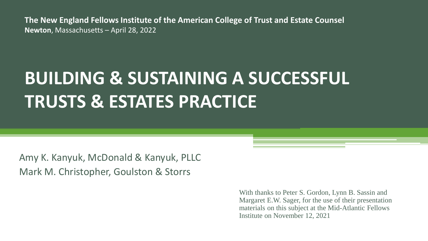**The New England Fellows Institute of the American College of Trust and Estate Counsel Newton**, Massachusetts – April 28, 2022

# **BUILDING & SUSTAINING A SUCCESSFUL TRUSTS & ESTATES PRACTICE**

Amy K. Kanyuk, McDonald & Kanyuk, PLLC Mark M. Christopher, Goulston & Storrs

> With thanks to Peter S. Gordon, Lynn B. Sassin and Margaret E.W. Sager, for the use of their presentation materials on this subject at the Mid-Atlantic Fellows Institute on November 12, 2021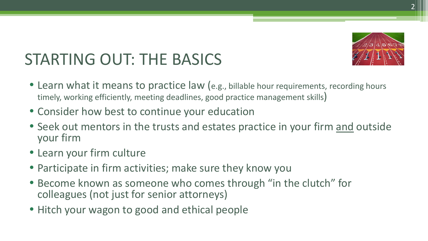

# STARTING OUT: THE BASICS

- Learn what it means to practice law (e.g., billable hour requirements, recording hours timely, working efficiently, meeting deadlines, good practice management skills)
- Consider how best to continue your education
- Seek out mentors in the trusts and estates practice in your firm and outside your firm
- Learn your firm culture
- Participate in firm activities; make sure they know you
- Become known as someone who comes through "in the clutch" for colleagues (not just for senior attorneys)
- Hitch your wagon to good and ethical people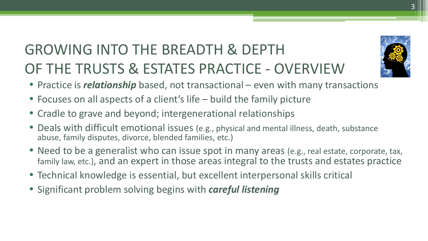# GROWING INTO THE BREADTH & DEPTH OF THE TRUSTS & ESTATES PRACTICE - OVERVIEW



- Practice is *relationship* based, not transactional even with many transactions
- Focuses on all aspects of a client's life build the family picture
- Cradle to grave and beyond; intergenerational relationships
- Deals with difficult emotional issues (e.g., physical and mental illness, death, substance abuse, family disputes, divorce, blended families, etc.)
- Need to be a generalist who can issue spot in many areas (e.g., real estate, corporate, tax, family law, etc.), and an expert in those areas integral to the trusts and estates practice
- Technical knowledge is essential, but excellent interpersonal skills critical
- Significant problem solving begins with *careful listening*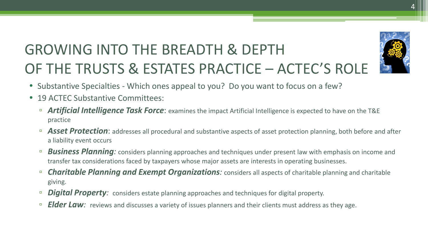# GROWING INTO THE BREADTH & DEPTH OF THE TRUSTS & ESTATES PRACTICE – ACTEC'S ROLE



- Substantive Specialties Which ones appeal to you? Do you want to focus on a few?
- 19 ACTEC Substantive Committees:
	- *Artificial Intelligence Task Force*: examines the impact Artificial Intelligence is expected to have on the T&E practice
	- **Asset Protection**: addresses all procedural and substantive aspects of asset protection planning, both before and after a liability event occurs
	- *Business Planning:* considers planning approaches and techniques under present law with emphasis on income and transfer tax considerations faced by taxpayers whose major assets are interests in operating businesses.
	- *Charitable Planning and Exempt Organizations:* considers all aspects of charitable planning and charitable giving.
	- **□ Digital Property**: considers estate planning approaches and techniques for digital property.
	- **Elder Law**: reviews and discusses a variety of issues planners and their clients must address as they age.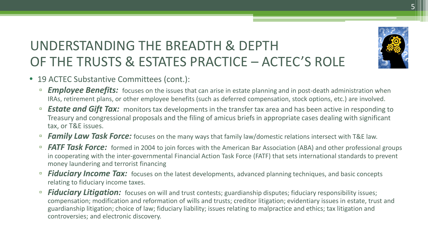#### UNDERSTANDING THE BREADTH & DEPTH OF THE TRUSTS & ESTATES PRACTICE – ACTEC'S ROLE



- 19 ACTEC Substantive Committees (cont.):
	- **□ Employee Benefits:** focuses on the issues that can arise in estate planning and in post-death administration when IRAs, retirement plans, or other employee benefits (such as deferred compensation, stock options, etc.) are involved.
	- **Estate and Gift Tax:** monitors tax developments in the transfer tax area and has been active in responding to Treasury and congressional proposals and the filing of amicus briefs in appropriate cases dealing with significant tax, or T&E issues.
	- **Family Law Task Force:** focuses on the many ways that family law/domestic relations intersect with T&E law.
	- **FATF Task Force:** formed in 2004 to join forces with the American Bar Association (ABA) and other professional groups in cooperating with the inter-governmental Financial Action Task Force (FATF) that sets international standards to prevent money laundering and terrorist financing
	- **□ Fiduciary Income Tax:** focuses on the latest developments, advanced planning techniques, and basic concepts relating to fiduciary income taxes.
	- **□ Fiduciary Litigation:** focuses on will and trust contests; guardianship disputes; fiduciary responsibility issues; compensation; modification and reformation of wills and trusts; creditor litigation; evidentiary issues in estate, trust and guardianship litigation; choice of law; fiduciary liability; issues relating to malpractice and ethics; tax litigation and controversies; and electronic discovery.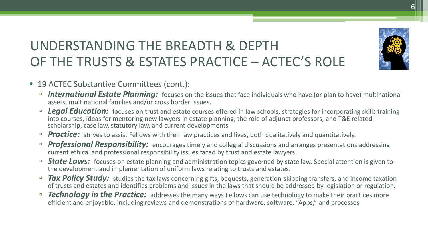#### UNDERSTANDING THE BREADTH & DEPTH OF THE TRUSTS & ESTATES PRACTICE – ACTEC'S ROLE



- 19 ACTEC Substantive Committees (cont.):
	- **International Estate Planning:** focuses on the issues that face individuals who have (or plan to have) multinational assets, multinational families and/or cross border issues.
	- **Legal Education:** focuses on trust and estate courses offered in law schools, strategies for incorporating skills training into courses, ideas for mentoring new lawyers in estate planning, the role of adjunct professors, and T&E related scholarship, case law, statutory law, and current developments
	- **□** *Practice:* strives to assist Fellows with their law practices and lives, both qualitatively and quantitatively.
	- **□ Professional Responsibility:** encourages timely and collegial discussions and arranges presentations addressing current ethical and professional responsibility issues faced by trust and estate lawyers.
	- **□ State Laws:** focuses on estate planning and administration topics governed by state law. Special attention is given to the development and implementation of uniform laws relating to trusts and estates.
	- **□** *Tax Policy Study:* studies the tax laws concerning gifts, bequests, generation-skipping transfers, and income taxation of trusts and estates and identifies problems and issues in the laws that should be addressed by legislation or regulation.
	- **Technology in the Practice:** addresses the many ways Fellows can use technology to make their practices more efficient and enjoyable, including reviews and demonstrations of hardware, software, "Apps," and processes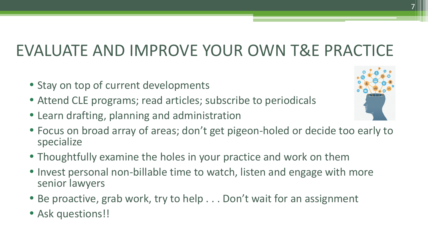# EVALUATE AND IMPROVE YOUR OWN T&E PRACTICE

- Stay on top of current developments
- Attend CLE programs; read articles; subscribe to periodicals
- Learn drafting, planning and administration



- Thoughtfully examine the holes in your practice and work on them
- Invest personal non-billable time to watch, listen and engage with more senior lawyers
- Be proactive, grab work, try to help . . . Don't wait for an assignment
- Ask questions!!

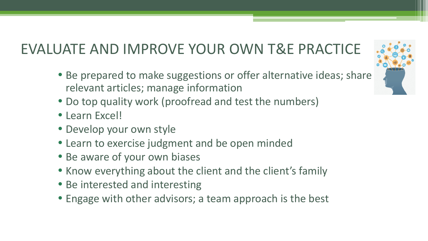#### EVALUATE AND IMPROVE YOUR OWN T&E PRACTICE

- Be prepared to make suggestions or offer alternative ideas; share relevant articles; manage information
- Do top quality work (proofread and test the numbers)
- Learn Excel!
- Develop your own style
- Learn to exercise judgment and be open minded
- Be aware of your own biases
- Know everything about the client and the client's family
- Be interested and interesting
- Engage with other advisors; a team approach is the best

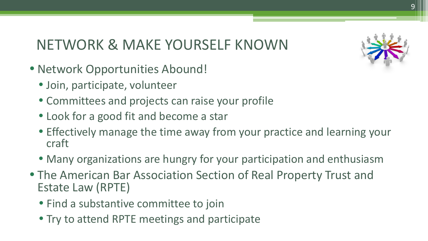

# NETWORK & MAKE YOURSELF KNOWN

- Network Opportunities Abound!
	- Join, participate, volunteer
	- Committees and projects can raise your profile
	- Look for a good fit and become a star
	- Effectively manage the time away from your practice and learning your craft
	- Many organizations are hungry for your participation and enthusiasm
- The American Bar Association Section of Real Property Trust and Estate Law (RPTE)
	- Find a substantive committee to join
	- Try to attend RPTE meetings and participate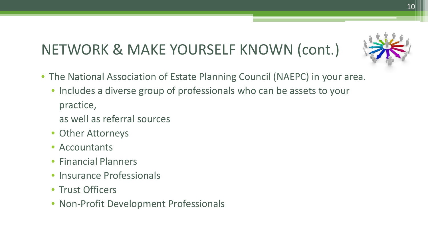# NETWORK & MAKE YOURSELF KNOWN (cont.)

- The National Association of Estate Planning Council (NAEPC) in your area.
	- Includes a diverse group of professionals who can be assets to your practice,
		- as well as referral sources
	- Other Attorneys
	- Accountants
	- Financial Planners
	- Insurance Professionals
	- Trust Officers
	- Non-Profit Development Professionals



10

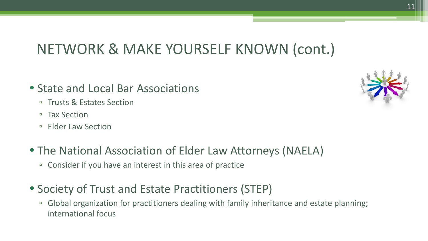#### NETWORK & MAKE YOURSELF KNOWN (cont.)

#### • State and Local Bar Associations

- Trusts & Estates Section
- Tax Section
- Elder Law Section
- The National Association of Elder Law Attorneys (NAELA)
	- Consider if you have an interest in this area of practice
- Society of Trust and Estate Practitioners (STEP)
	- Global organization for practitioners dealing with family inheritance and estate planning; international focus

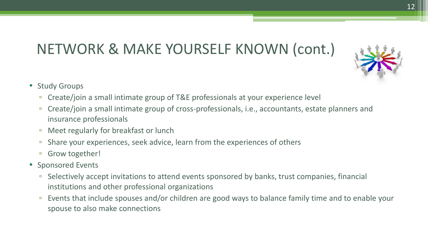#### NETWORK & MAKE YOURSELF KNOWN (cont.)

- Study Groups
	- Create/join a small intimate group of T&E professionals at your experience level
	- Create/join a small intimate group of cross-professionals, i.e., accountants, estate planners and insurance professionals
	- Meet regularly for breakfast or lunch
	- Share your experiences, seek advice, learn from the experiences of others
	- □ Grow together!
- Sponsored Events
	- □ Selectively accept invitations to attend events sponsored by banks, trust companies, financial institutions and other professional organizations
	- Events that include spouses and/or children are good ways to balance family time and to enable your spouse to also make connections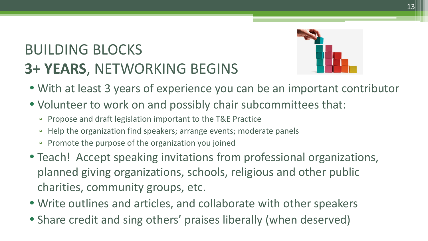#### BUILDING BLOCKS **3+ YEARS**, NETWORKING BEGINS



- With at least 3 years of experience you can be an important contributor
- Volunteer to work on and possibly chair subcommittees that:
	- Propose and draft legislation important to the T&E Practice
	- □ Help the organization find speakers; arrange events; moderate panels
	- Promote the purpose of the organization you joined
- Teach! Accept speaking invitations from professional organizations, planned giving organizations, schools, religious and other public charities, community groups, etc.
- Write outlines and articles, and collaborate with other speakers
- Share credit and sing others' praises liberally (when deserved)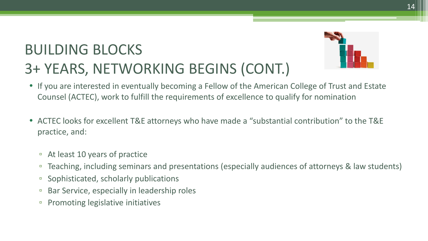## BUILDING BLOCKS 3+ YEARS, NETWORKING BEGINS (CONT.)



- If you are interested in eventually becoming a Fellow of the American College of Trust and Estate Counsel (ACTEC), work to fulfill the requirements of excellence to qualify for nomination
- ACTEC looks for excellent T&E attorneys who have made a "substantial contribution" to the T&E practice, and:
	- At least 10 years of practice
	- □ Teaching, including seminars and presentations (especially audiences of attorneys & law students)
	- Sophisticated, scholarly publications
	- Bar Service, especially in leadership roles
	- Promoting legislative initiatives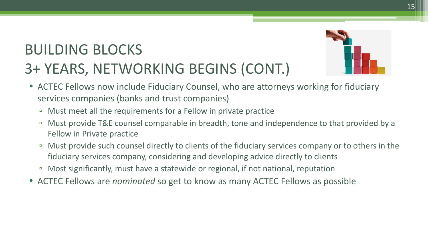# BUILDING BLOCKS 3+ YEARS, NETWORKING BEGINS (CONT.)



- ACTEC Fellows now include Fiduciary Counsel, who are attorneys working for fiduciary services companies (banks and trust companies)
	- Must meet all the requirements for a Fellow in private practice
	- Must provide T&E counsel comparable in breadth, tone and independence to that provided by a Fellow in Private practice
	- Must provide such counsel directly to clients of the fiduciary services company or to others in the fiduciary services company, considering and developing advice directly to clients
	- Most significantly, must have a statewide or regional, if not national, reputation
- ACTEC Fellows are *nominated* so get to know as many ACTEC Fellows as possible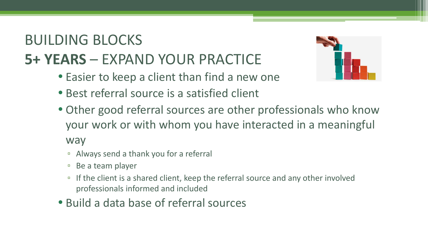- Easier to keep a client than find a new one
- Best referral source is a satisfied client
- Other good referral sources are other professionals who know your work or with whom you have interacted in a meaningful way
	- Always send a thank you for a referral
	- Be a team player
	- □ If the client is a shared client, keep the referral source and any other involved professionals informed and included
- Build a data base of referral sources

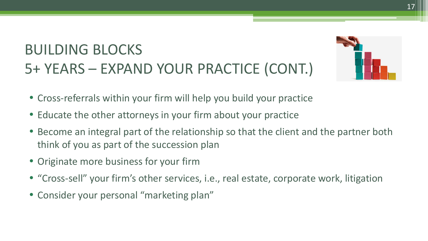

- Cross-referrals within your firm will help you build your practice
- Educate the other attorneys in your firm about your practice
- Become an integral part of the relationship so that the client and the partner both think of you as part of the succession plan
- Originate more business for your firm
- "Cross-sell" your firm's other services, i.e., real estate, corporate work, litigation
- Consider your personal "marketing plan"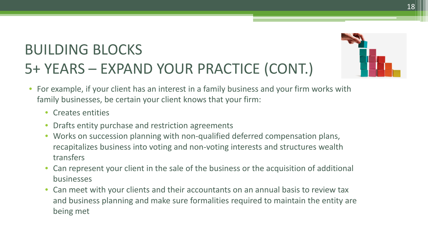

- For example, if your client has an interest in a family business and your firm works with family businesses, be certain your client knows that your firm:
	- Creates entities
	- Drafts entity purchase and restriction agreements
	- Works on succession planning with non-qualified deferred compensation plans, recapitalizes business into voting and non-voting interests and structures wealth transfers
	- Can represent your client in the sale of the business or the acquisition of additional businesses
	- Can meet with your clients and their accountants on an annual basis to review tax and business planning and make sure formalities required to maintain the entity are being met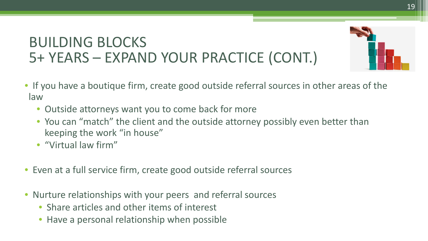- If you have a boutique firm, create good outside referral sources in other areas of the law
	- Outside attorneys want you to come back for more
	- You can "match" the client and the outside attorney possibly even better than keeping the work "in house"
	- "Virtual law firm"
- Even at a full service firm, create good outside referral sources
- Nurture relationships with your peers and referral sources
	- Share articles and other items of interest
	- Have a personal relationship when possible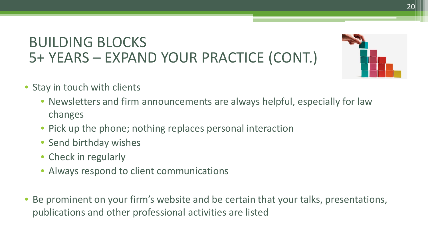- Stay in touch with clients
	- Newsletters and firm announcements are always helpful, especially for law changes
	- Pick up the phone; nothing replaces personal interaction
	- Send birthday wishes
	- Check in regularly
	- Always respond to client communications
- Be prominent on your firm's website and be certain that your talks, presentations, publications and other professional activities are listed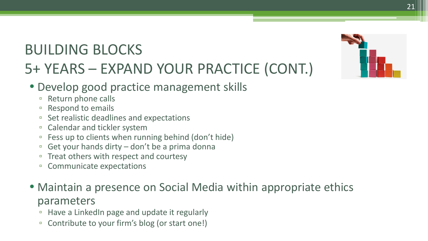- Develop good practice management skills
	- Return phone calls
	- Respond to emails
	- Set realistic deadlines and expectations
	- Calendar and tickler system
	- □ Fess up to clients when running behind (don't hide)
	- □ Get your hands dirty don't be a prima donna
	- Treat others with respect and courtesy
	- Communicate expectations
- Maintain a presence on Social Media within appropriate ethics parameters
	- Have a LinkedIn page and update it regularly
	- □ Contribute to your firm's blog (or start one!)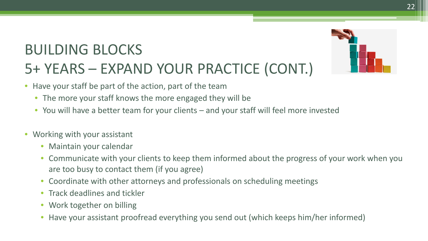

- Have your staff be part of the action, part of the team
	- The more your staff knows the more engaged they will be
	- You will have a better team for your clients and your staff will feel more invested
- Working with your assistant
	- Maintain your calendar
	- Communicate with your clients to keep them informed about the progress of your work when you are too busy to contact them (if you agree)
	- Coordinate with other attorneys and professionals on scheduling meetings
	- Track deadlines and tickler
	- Work together on billing
	- Have your assistant proofread everything you send out (which keeps him/her informed)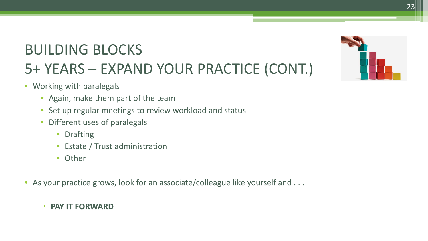- Working with paralegals
	- Again, make them part of the team
	- Set up regular meetings to review workload and status
	- Different uses of paralegals
		- Drafting
		- Estate / Trust administration
		- Other
- As your practice grows, look for an associate/colleague like yourself and ...
	- **PAY IT FORWARD**

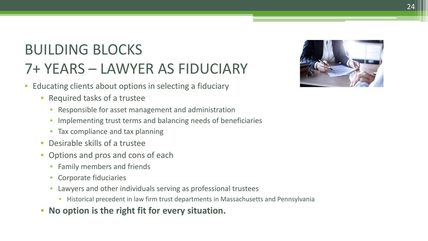# BUILDING BLOCKS 7+ YEARS – LAWYER AS FIDUCIARY

- Educating clients about options in selecting a fiduciary
	- Required tasks of a trustee
		- Responsible for asset management and administration
		- Implementing trust terms and balancing needs of beneficiaries
		- Tax compliance and tax planning
	- Desirable skills of a trustee
	- Options and pros and cons of each
		- Family members and friends
		- Corporate fiduciaries
		- Lawyers and other individuals serving as professional trustees
			- Historical precedent in law firm trust departments in Massachusetts and Pennsylvania
	- **No option is the right fit for every situation.**

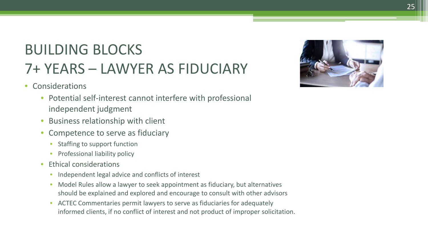# BUILDING BLOCKS 7+ YEARS – LAWYER AS FIDUCIARY

- Considerations
	- Potential self-interest cannot interfere with professional independent judgment
	- Business relationship with client
	- Competence to serve as fiduciary
		- Staffing to support function
		- Professional liability policy
	- Ethical considerations
		- Independent legal advice and conflicts of interest
		- Model Rules allow a lawyer to seek appointment as fiduciary, but alternatives should be explained and explored and encourage to consult with other advisors
		- ACTEC Commentaries permit lawyers to serve as fiduciaries for adequately informed clients, if no conflict of interest and not product of improper solicitation.

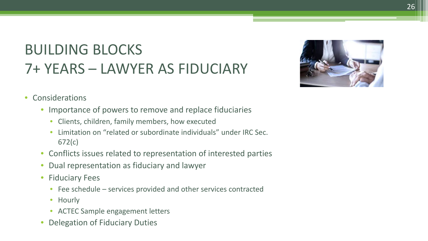## BUILDING BLOCKS 7+ YEARS – LAWYER AS FIDUCIARY



- Considerations
	- Importance of powers to remove and replace fiduciaries
		- Clients, children, family members, how executed
		- Limitation on "related or subordinate individuals" under IRC Sec. 672(c)
	- Conflicts issues related to representation of interested parties
	- Dual representation as fiduciary and lawyer
	- Fiduciary Fees
		- Fee schedule services provided and other services contracted
		- Hourly
		- ACTEC Sample engagement letters
	- Delegation of Fiduciary Duties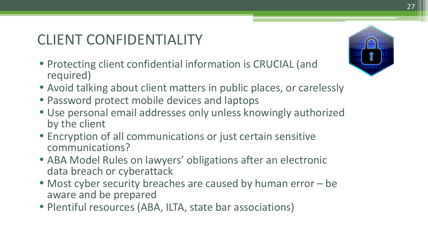#### CLIENT CONFIDENTIALITY

- Protecting client confidential information is CRUCIAL (and required)
- Avoid talking about client matters in public places, or carelessly
- Password protect mobile devices and laptops
- Use personal email addresses only unless knowingly authorized by the client
- Encryption of all communications or just certain sensitive communications?
- ABA Model Rules on lawyers' obligations after an electronic data breach or cyberattack
- Most cyber security breaches are caused by human error be aware and be prepared
- Plentiful resources (ABA, ILTA, state bar associations)

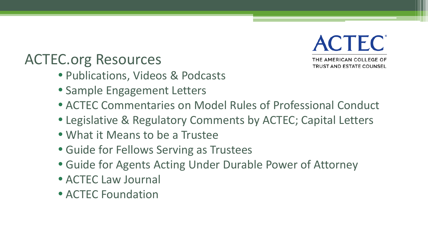#### ACTEC.org Resources

- Publications, Videos & Podcasts
- Sample Engagement Letters
- ACTEC Commentaries on Model Rules of Professional Conduct
- Legislative & Regulatory Comments by ACTEC; Capital Letters
- What it Means to be a Trustee
- Guide for Fellows Serving as Trustees
- Guide for Agents Acting Under Durable Power of Attorney
- ACTEC Law Journal
- ACTEC Foundation

**ACTEC** THE AMERICAN COLLEGE OF **TRUST AND ESTATE COUNSEL**